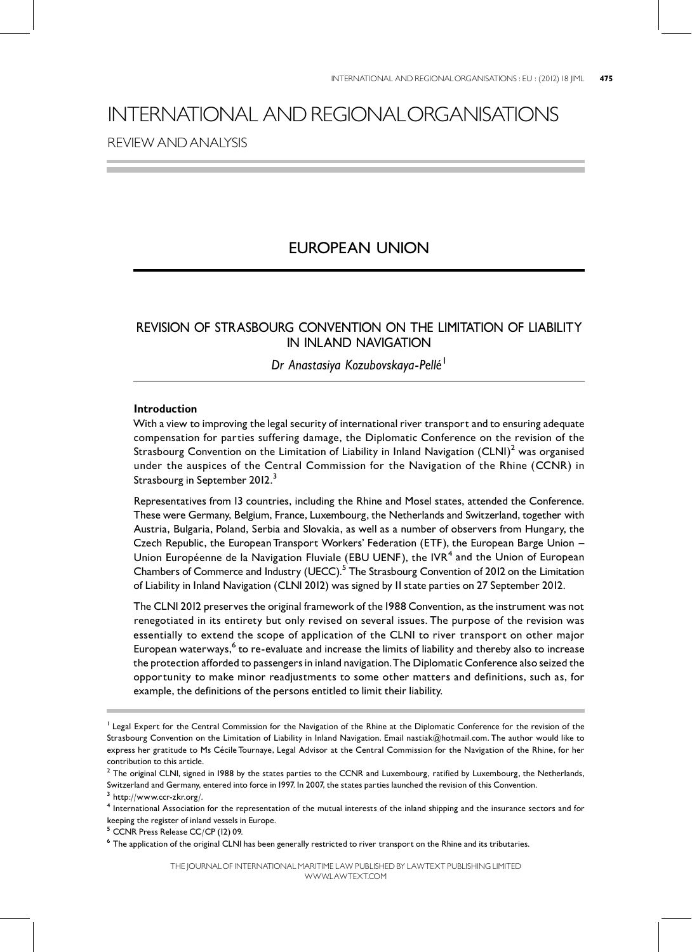# INTERNATIONAL ANDREGIONALORGANISATIONS REVIEWANDANALYSIS

# EUROPEAN UNION

### REVISION OF STRASBOURG CONVENTION ON THE LIMITATION OF LIABILITY IN INLAND NAVIGATION

## Dr Anastasiya Kozubovskaya-Pellé <sup>1</sup>

#### Introduction

With a view to improving the legal security of international river transport and to ensuring adequate compensation for parties suffering damage, the Diplomatic Conference on the revision of the Strasbourg Convention on the Limitation of Liability in Inland Navigation  ${\rm (CLNI)}^2$  was organised under the auspices of the Central Commission for the Navigation of the Rhine (CCNR) in Strasbourg in September 2012.<sup>3</sup>

Representatives from 13 countries, including the Rhine and Mosel states, attended the Conference. These were Germany, Belgium, France, Luxembourg, the Netherlands and Switzerland, together with Austria, Bulgaria, Poland, Serbia and Slovakia, as well as a number of observers from Hungary, the Czech Republic, the European Transport Workers' Federation (ETF), the European Barge Union -Union Européenne de la Navigation Fluviale (EBU UENF), the IVR<sup>4</sup> and the Union of European Chambers of Commerce and Industry (UECC).<sup>5</sup> The Strasbourg Convention of 2012 on the Limitation of Liability in Inland Navigation (CLNI 2012) was signed by II state parties on 27 September 2012.

The CLNI 2012 preserves the original framework of the 1988 Convention, as the instrument was not renegotiated in its entirety but only revised on several issues. The purpose of the revision was essentially to extend the scope of application of the CLNI to river transport on other major European waterways,<sup>6</sup> to re-evaluate and increase the limits of liability and thereby also to increase the protection afforded to passengers in inland navigation. The Diplomatic Conference also seized the opportunity to make minor readjustments to some other matters and definitions, such as, for example, the definitions of the persons entitled to limit their liability.

<sup>&</sup>lt;sup>1</sup> Legal Expert for the Central Commission for the Navigation of the Rhine at the Diplomatic Conference for the revision of the Strasbourg Convention on the Limitation of Liability in Inland Navigation. Email nastiak@hotmail.com. The author would like to express her gratitude to Ms Cécile Tournaye, Legal Advisor at the Central Commission for the Navigation of the Rhine, for her contribution to this article.

 $2$  The original CLNI, signed in 1988 by the states parties to the CCNR and Luxembourg, ratified by Luxembourg, the Netherlands, Switzerland and Germany, entered into force in 1997. In 2007, the states parties launched the revision of this Convention.

 $3$  http://www.ccr-zkr.org/.

<sup>4</sup> International Association for the representation of the mutual interests of the inland shipping and the insurance sectors and for keeping the register of inland vessels in Europe.

<sup>5</sup> CCNR Press Release CC/CP (12) 09.

<sup>&</sup>lt;sup>6</sup> The application of the original CLNI has been generally restricted to river transport on the Rhine and its tributaries.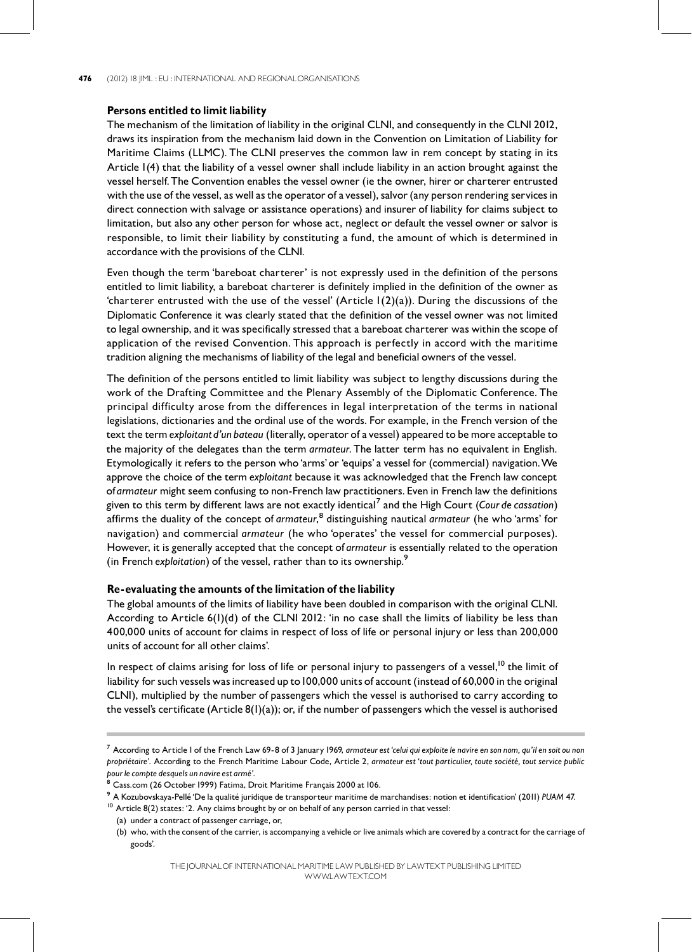#### Persons entitled to limit liability

The mechanism of the limitation of liability in the original CLNI, and consequently in the CLNI 2012, draws its inspiration from the mechanism laid down in the Convention on Limitation of Liability for Maritime Claims (LLMC). The CLNI preserves the common law in rem concept by stating in its Article 1(4) that the liability of a vessel owner shall include liability in an action brought against the vessel herself.The Convention enables the vessel owner (ie the owner, hirer or charterer entrusted with the use of the vessel, as well as the operator of a vessel), salvor (any person rendering services in direct connection with salvage or assistance operations) and insurer of liability for claims subject to limitation, but also any other person for whose act, neglect or default the vessel owner or salvor is responsible, to limit their liability by constituting a fund, the amount of which is determined in accordance with the provisions of the CLNI.

Even though the term 'bareboat charterer' is not expressly used in the definition of the persons entitled to limit liability, a bareboat charterer is definitely implied in the definition of the owner as 'charterer entrusted with the use of the vessel' (Article  $(2)(a)$ ). During the discussions of the Diplomatic Conference it was clearly stated that the definition of the vessel owner was not limited to legal ownership, and it was specifically stressed that a bareboat charterer was within the scope of application of the revised Convention. This approach is perfectly in accord with the maritime tradition aligning the mechanisms of liability of the legal and beneficial owners of the vessel.

The definition of the persons entitled to limit liability was subject to lengthy discussions during the work of the Drafting Committee and the Plenary Assembly of the Diplomatic Conference. The principal difficulty arose from the differences in legal interpretation of the terms in national legislations, dictionaries and the ordinal use of the words. For example, in the French version of the text the term exploitant d'un bateau (literally, operator of a vessel) appeared to be more acceptable to the majority of the delegates than the term *armateur*. The latter term has no equivalent in English. Etymologically it refers to the person who `arms' or `equips' a vessel for (commercial) navigation.We approve the choice of the term exploitant because it was acknowledged that the French law concept ofarmateur might seem confusing to non-French law practitioners.Even in French law the definitions given to this term by different laws are not exactly identical<sup>7</sup> and the High Court (Cour*de cassation*) affirms the duality of the concept of *armateur*,<sup>8</sup> distinguishing nautical *armateur (*he who 'arms' for navigation) and commercial armateur (he who `operates' the vessel for commercial purposes). However, it is generally accepted that the concept of armateur is essentially related to the operation (in French exploitation) of the vessel, rather than to its ownership. $^{\rm 9}$ 

#### Re-evaluating the amounts of the limitation of the liability

The global amounts of the limits of liability have been doubled in comparison with the original CLNI. According to Article 6(1)(d) of the CLNI 2012: 'in no case shall the limits of liability be less than 400,000 units of account for claims in respect of loss of life or personal injury or less than 200,000 units of account for all other claims'.

In respect of claims arising for loss of life or personal injury to passengers of a vessel,<sup>10</sup> the limit of liability for such vessels was increased up to 100,000 units of account (instead of 60,000 in the original CLNI), multiplied by the number of passengers which the vessel is authorised to carry according to the vessel's certificate (Article  $8(1)(a)$ ); or, if the number of passengers which the vessel is authorised

<sup>10</sup> Article 8(2) states: '2. Any claims brought by or on behalf of any person carried in that vessel: (a) under a contract of passenger carriage, or,

<sup>7</sup> According to Article I of the French Law 69-8 of 3 January 1969, armateur est 'celui qui exploite le navire en son nom, qu'il en soit ou non propriétaire'. According to the French Maritime Labour Code, Article 2, armateur est 'tout particulier, toute société, tout service public pour le compte desquels un navire est armé'.

<sup>&</sup>lt;sup>8</sup> Cass.com (26 October 1999) Fatima, Droit Maritime Français 2000 at 106.

<sup>&</sup>lt;sup>9</sup> A Kozubovskaya-Pellé 'De la qualité juridique de transporteur maritime de marchandises: notion et identification' (2011) PUAM 47.

<sup>(</sup>b) who, with the consent of the carrier, is accompanying a vehicle or live animals which are covered by a contract for the carriage of goods'.